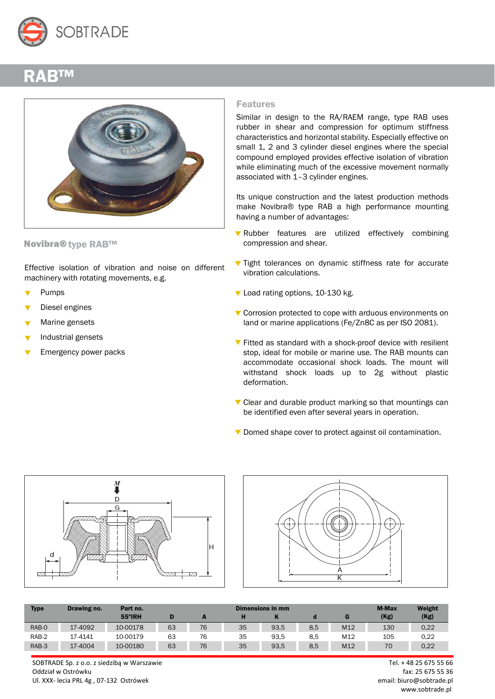

## RAB™



Novibra® type RAB™

Effective isolation of vibration and noise on different machinery with rotating movements, e.g.

- Pumps
- Diesel engines
- Marine gensets
- Industrial gensets
- Emergency power packs

## Features

Similar in design to the RA/RAEM range, type RAB uses rubber in shear and compression for optimum stiffness characteristics and horizontal stability. Especially effective on small 1, 2 and 3 cylinder diesel engines where the special compound employed provides effective isolation of vibration while eliminating much of the excessive movement normally associated with 1–3 cylinder engines.

Its unique construction and the latest production methods make Novibra® type RAB a high performance mounting having a number of advantages:

- Rubber features are utilized effectively combining compression and shear.
- $\blacktriangledown$  Tight tolerances on dynamic stiffness rate for accurate vibration calculations.
- Load rating options, 10-130 kg.
- ▼ Corrosion protected to cope with arduous environments on land or marine applications (Fe/Zn8C as per ISO 2081).
- $\blacktriangledown$  Fitted as standard with a shock-proof device with resilient stop, ideal for mobile or marine use. The RAB mounts can accommodate occasional shock loads. The mount will withstand shock loads up to 2g without plastic deformation.
- $\nabla$  Clear and durable product marking so that mountings can be identified even after several years in operation.
- Domed shape cover to protect against oil contamination.





| <b>Type</b> | Drawing no. | Part no. | <b>M-Max</b><br>Dimensions in mm |    |    |      |     |                 |      | Weight |
|-------------|-------------|----------|----------------------------------|----|----|------|-----|-----------------|------|--------|
|             |             | 55°IRH   |                                  |    |    |      |     |                 | (Kg) | (Kg)   |
| RAB-0       | 17-4092     | 10-00178 | 63                               | 76 | 35 | 93,5 | 8,5 | M <sub>12</sub> | 130  | 0,22   |
| RAB-2       | 17-4141     | 10-00179 | 63                               | 76 | 35 | 93.5 | 8.5 | M12             | 105  | 0.22   |
| RAB-3       | 17-4004     | 10-00180 | 63                               | 76 | 35 | 93,5 | 8,5 | M12             | 70   | 0.22   |

SOBTRADE Sp. z o.o. z siedzibą w Warszawie Tel. + 48 25 675 55 66 Oddział w Ostrówku fax: 25 675 55 36 Ul. XXX- lecia PRL 4g , 07-132 Ostrówek email: biuro@sobtrade.pl

www.sobtrade.pl